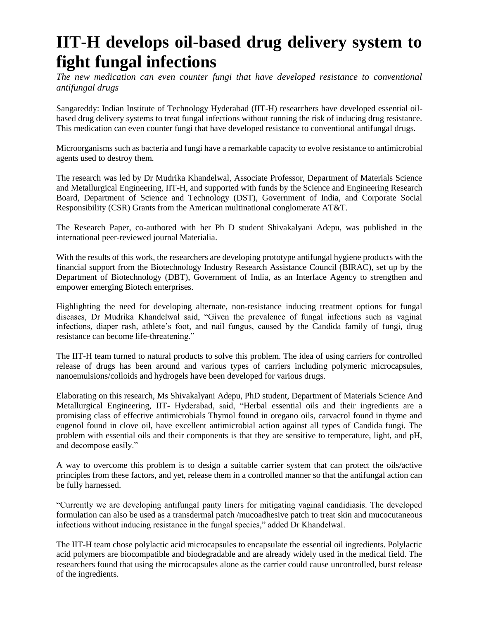## **IIT-H develops oil-based drug delivery system to fight fungal infections**

*The new medication can even counter fungi that have developed resistance to conventional antifungal drugs*

Sangareddy: Indian Institute of Technology Hyderabad (IIT-H) researchers have developed essential oilbased drug delivery systems to treat fungal infections without running the risk of inducing drug resistance. This medication can even counter fungi that have developed resistance to conventional antifungal drugs.

Microorganisms such as bacteria and fungi have a remarkable capacity to evolve resistance to antimicrobial agents used to destroy them.

The research was led by Dr Mudrika Khandelwal, Associate Professor, Department of Materials Science and Metallurgical Engineering, IIT-H, and supported with funds by the Science and Engineering Research Board, Department of Science and Technology (DST), Government of India, and Corporate Social Responsibility (CSR) Grants from the American multinational conglomerate AT&T.

The Research Paper, co-authored with her Ph D student Shivakalyani Adepu, was published in the international peer-reviewed journal Materialia.

With the results of this work, the researchers are developing prototype antifungal hygiene products with the financial support from the Biotechnology Industry Research Assistance Council (BIRAC), set up by the Department of Biotechnology (DBT), Government of India, as an Interface Agency to strengthen and empower emerging Biotech enterprises.

Highlighting the need for developing alternate, non-resistance inducing treatment options for fungal diseases, Dr Mudrika Khandelwal said, "Given the prevalence of fungal infections such as vaginal infections, diaper rash, athlete's foot, and nail fungus, caused by the Candida family of fungi, drug resistance can become life-threatening."

The IIT-H team turned to natural products to solve this problem. The idea of using carriers for controlled release of drugs has been around and various types of carriers including polymeric microcapsules, nanoemulsions/colloids and hydrogels have been developed for various drugs.

Elaborating on this research, Ms Shivakalyani Adepu, PhD student, Department of Materials Science And Metallurgical Engineering, IIT- Hyderabad, said, "Herbal essential oils and their ingredients are a promising class of effective antimicrobials Thymol found in oregano oils, carvacrol found in thyme and eugenol found in clove oil, have excellent antimicrobial action against all types of Candida fungi. The problem with essential oils and their components is that they are sensitive to temperature, light, and pH, and decompose easily."

A way to overcome this problem is to design a suitable carrier system that can protect the oils/active principles from these factors, and yet, release them in a controlled manner so that the antifungal action can be fully harnessed.

"Currently we are developing antifungal panty liners for mitigating vaginal candidiasis. The developed formulation can also be used as a transdermal patch /mucoadhesive patch to treat skin and mucocutaneous infections without inducing resistance in the fungal species," added Dr Khandelwal.

The IIT-H team chose polylactic acid microcapsules to encapsulate the essential oil ingredients. Polylactic acid polymers are biocompatible and biodegradable and are already widely used in the medical field. The researchers found that using the microcapsules alone as the carrier could cause uncontrolled, burst release of the ingredients.